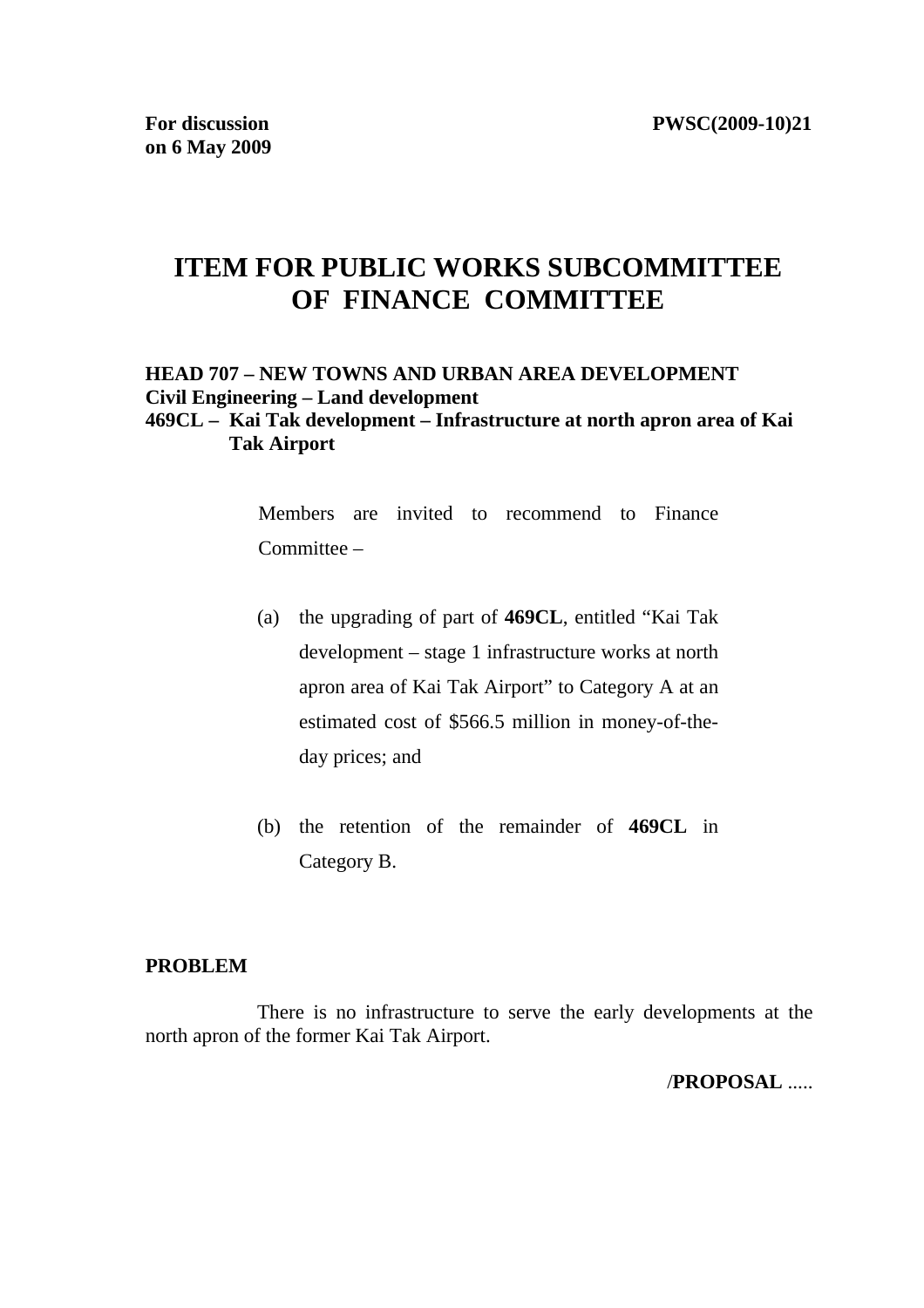# **ITEM FOR PUBLIC WORKS SUBCOMMITTEE OF FINANCE COMMITTEE**

# **HEAD 707 – NEW TOWNS AND URBAN AREA DEVELOPMENT Civil Engineering – Land development**

#### **469CL – Kai Tak development – Infrastructure at north apron area of Kai Tak Airport**

Members are invited to recommend to Finance Committee –

- (a) the upgrading of part of **469CL**, entitled "Kai Tak development – stage 1 infrastructure works at north apron area of Kai Tak Airport" to Category A at an estimated cost of \$566.5 million in money-of-theday prices; and
- (b) the retention of the remainder of **469CL** in Category B.

#### **PROBLEM**

There is no infrastructure to serve the early developments at the north apron of the former Kai Tak Airport.

/**PROPOSAL** .....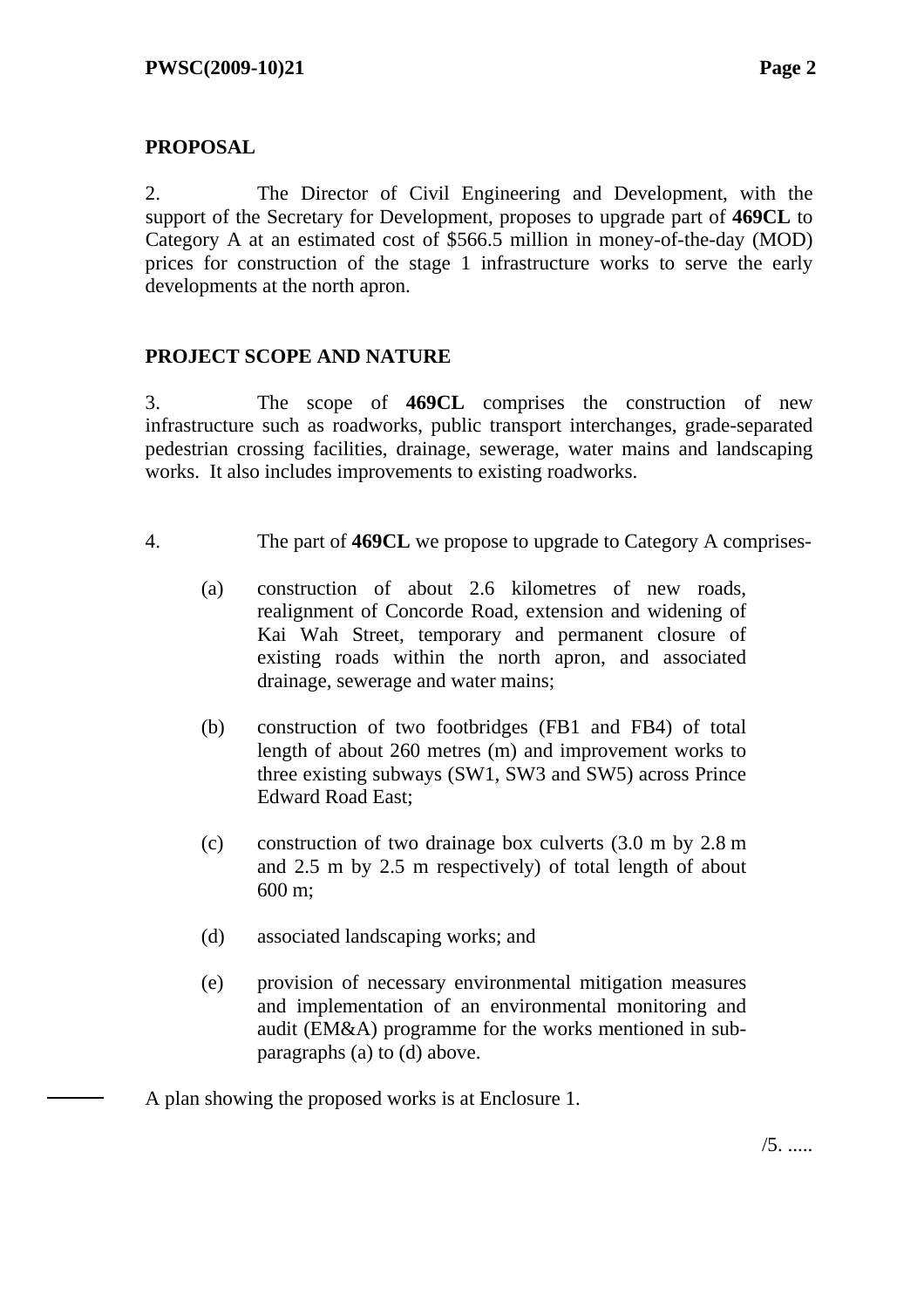#### **PROPOSAL**

2. The Director of Civil Engineering and Development, with the support of the Secretary for Development, proposes to upgrade part of **469CL** to Category A at an estimated cost of \$566.5 million in money-of-the-day (MOD) prices for construction of the stage 1 infrastructure works to serve the early developments at the north apron.

# **PROJECT SCOPE AND NATURE**

3. The scope of **469CL** comprises the construction of new infrastructure such as roadworks, public transport interchanges, grade-separated pedestrian crossing facilities, drainage, sewerage, water mains and landscaping works. It also includes improvements to existing roadworks.

- 4. The part of **469CL** we propose to upgrade to Category A comprises-
	- (a) construction of about 2.6 kilometres of new roads, realignment of Concorde Road, extension and widening of Kai Wah Street, temporary and permanent closure of existing roads within the north apron, and associated drainage, sewerage and water mains;
	- (b) construction of two footbridges (FB1 and FB4) of total length of about 260 metres (m) and improvement works to three existing subways (SW1, SW3 and SW5) across Prince Edward Road East;
	- (c) construction of two drainage box culverts (3.0 m by 2.8 m and 2.5 m by 2.5 m respectively) of total length of about 600 m;
	- (d) associated landscaping works; and
	- (e) provision of necessary environmental mitigation measures and implementation of an environmental monitoring and audit (EM&A) programme for the works mentioned in subparagraphs (a) to (d) above.

A plan showing the proposed works is at Enclosure 1.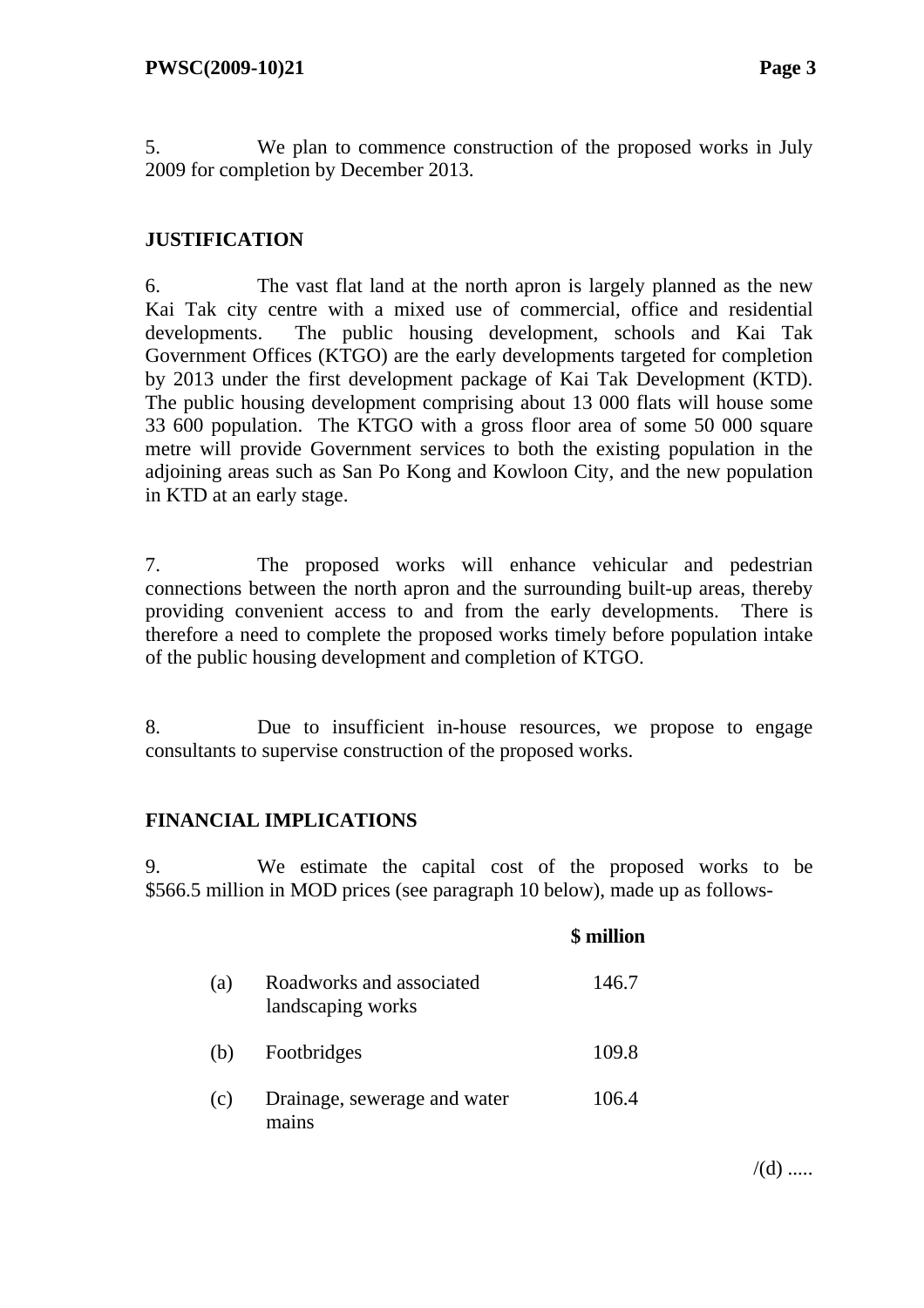5. We plan to commence construction of the proposed works in July 2009 for completion by December 2013.

#### **JUSTIFICATION**

6. The vast flat land at the north apron is largely planned as the new Kai Tak city centre with a mixed use of commercial, office and residential developments. The public housing development, schools and Kai Tak Government Offices (KTGO) are the early developments targeted for completion by 2013 under the first development package of Kai Tak Development (KTD). The public housing development comprising about 13 000 flats will house some 33 600 population. The KTGO with a gross floor area of some 50 000 square metre will provide Government services to both the existing population in the adjoining areas such as San Po Kong and Kowloon City, and the new population in KTD at an early stage.

7. The proposed works will enhance vehicular and pedestrian connections between the north apron and the surrounding built-up areas, thereby providing convenient access to and from the early developments. There is therefore a need to complete the proposed works timely before population intake of the public housing development and completion of KTGO.

8. Due to insufficient in-house resources, we propose to engage consultants to supervise construction of the proposed works.

#### **FINANCIAL IMPLICATIONS**

9. We estimate the capital cost of the proposed works to be \$566.5 million in MOD prices (see paragraph 10 below), made up as follows-

|     |                                               | \$ million |
|-----|-----------------------------------------------|------------|
| (a) | Roadworks and associated<br>landscaping works | 146.7      |
| (b) | Footbridges                                   | 109.8      |
| (c) | Drainage, sewerage and water<br>mains         | 106.4      |

 $/(d)$  .....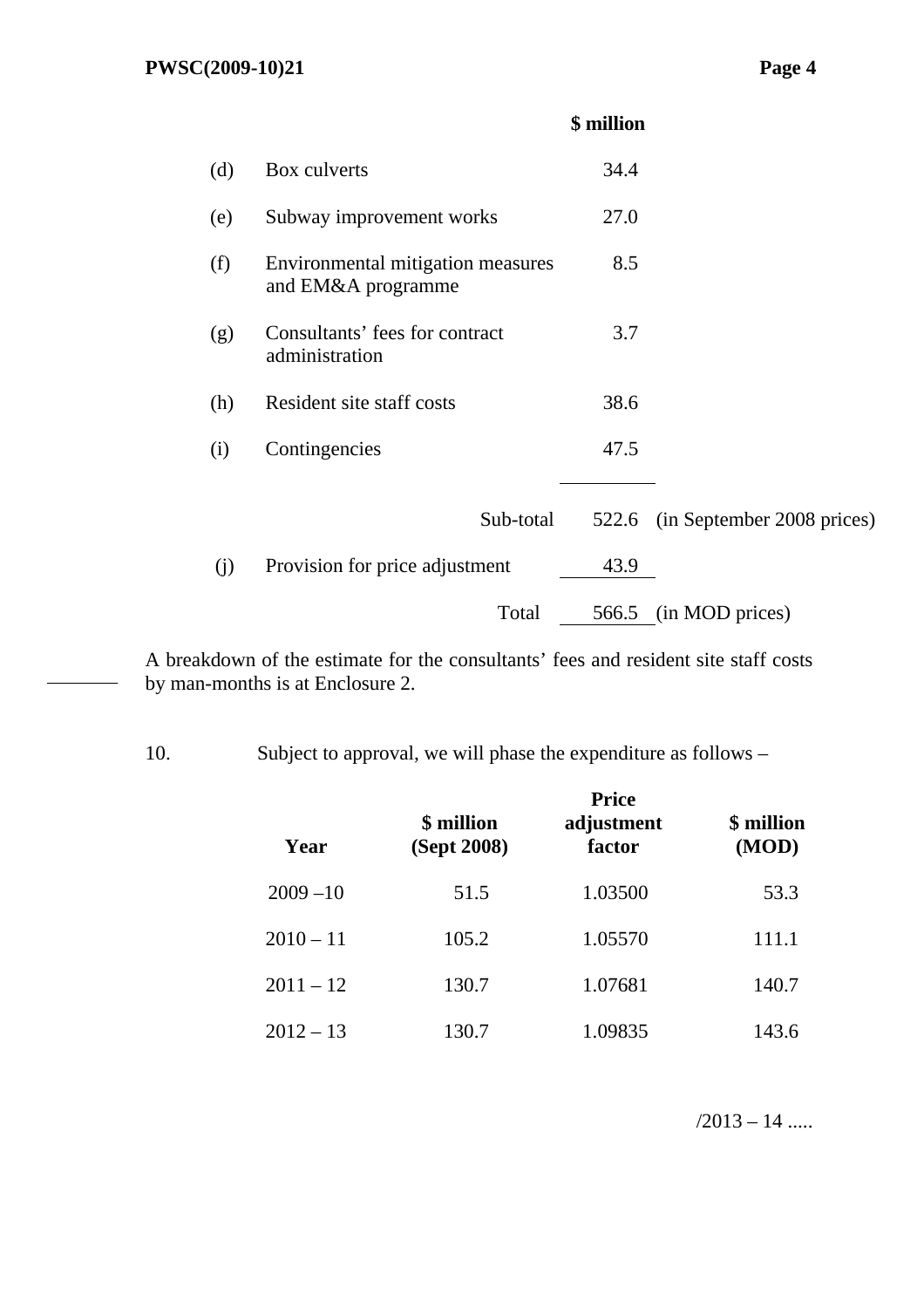# **\$ million**

| (d) | Box culverts                                            | 34.4  |                            |
|-----|---------------------------------------------------------|-------|----------------------------|
| (e) | Subway improvement works                                | 27.0  |                            |
| (f) | Environmental mitigation measures<br>and EM&A programme | 8.5   |                            |
| (g) | Consultants' fees for contract<br>administration        | 3.7   |                            |
| (h) | Resident site staff costs                               | 38.6  |                            |
| (i) | Contingencies                                           | 47.5  |                            |
|     |                                                         |       |                            |
|     | Sub-total                                               | 522.6 | (in September 2008 prices) |
| (j) | Provision for price adjustment                          | 43.9  |                            |
|     | Total                                                   |       | 566.5 (in MOD prices)      |

A breakdown of the estimate for the consultants' fees and resident site staff costs by man-months is at Enclosure 2.

10. Subject to approval, we will phase the expenditure as follows –

| Year        | \$ million<br>(Sept 2008) | <b>Price</b><br>adjustment<br>factor | \$ million<br>(MOD) |
|-------------|---------------------------|--------------------------------------|---------------------|
| $2009 - 10$ | 51.5                      | 1.03500                              | 53.3                |
| $2010 - 11$ | 105.2                     | 1.05570                              | 111.1               |
| $2011 - 12$ | 130.7                     | 1.07681                              | 140.7               |
| $2012 - 13$ | 130.7                     | 1.09835                              | 143.6               |

 $/2013 - 14$  .....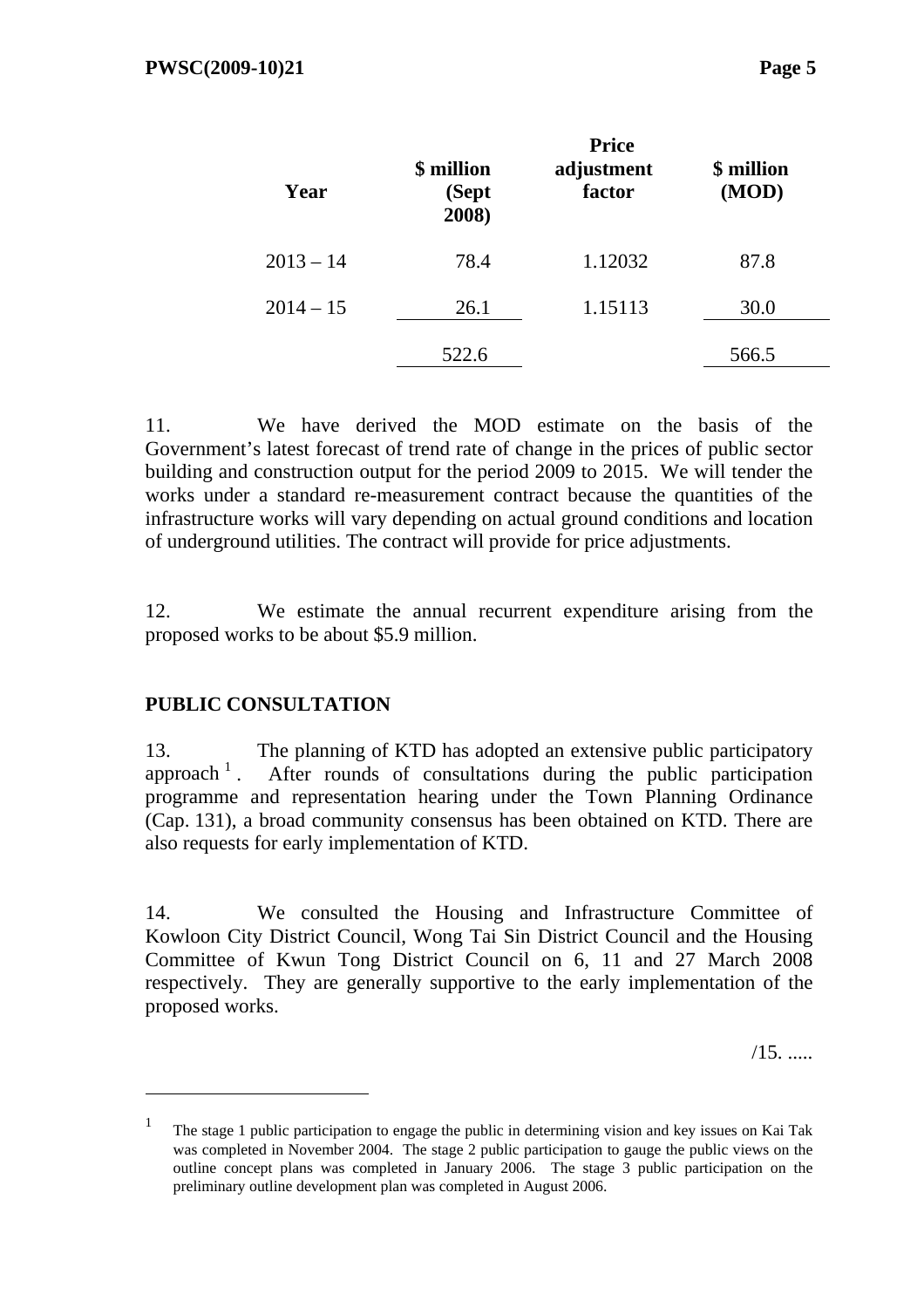| Year        | \$ million<br>(Sept<br>2008) | <b>Price</b><br>adjustment<br>factor | \$ million<br>(MOD) |
|-------------|------------------------------|--------------------------------------|---------------------|
| $2013 - 14$ | 78.4                         | 1.12032                              | 87.8                |
| $2014 - 15$ | 26.1                         | 1.15113                              | 30.0                |
|             | 522.6                        |                                      | 566.5               |

11. We have derived the MOD estimate on the basis of the Government's latest forecast of trend rate of change in the prices of public sector building and construction output for the period 2009 to 2015. We will tender the works under a standard re-measurement contract because the quantities of the infrastructure works will vary depending on actual ground conditions and location of underground utilities. The contract will provide for price adjustments.

12. We estimate the annual recurrent expenditure arising from the proposed works to be about \$5.9 million.

#### **PUBLIC CONSULTATION**

 $\overline{a}$ 

13. The planning of KTD has adopted an extensive public participatory approach  $\frac{1}{1}$ . After rounds of consultations during the public participation programme and representation hearing under the Town Planning Ordinance (Cap. 131), a broad community consensus has been obtained on KTD. There are also requests for early implementation of KTD.

14. We consulted the Housing and Infrastructure Committee of Kowloon City District Council, Wong Tai Sin District Council and the Housing Committee of Kwun Tong District Council on 6, 11 and 27 March 2008 respectively. They are generally supportive to the early implementation of the proposed works.

/15. .....

<sup>1</sup> The stage 1 public participation to engage the public in determining vision and key issues on Kai Tak was completed in November 2004. The stage 2 public participation to gauge the public views on the outline concept plans was completed in January 2006. The stage 3 public participation on the preliminary outline development plan was completed in August 2006.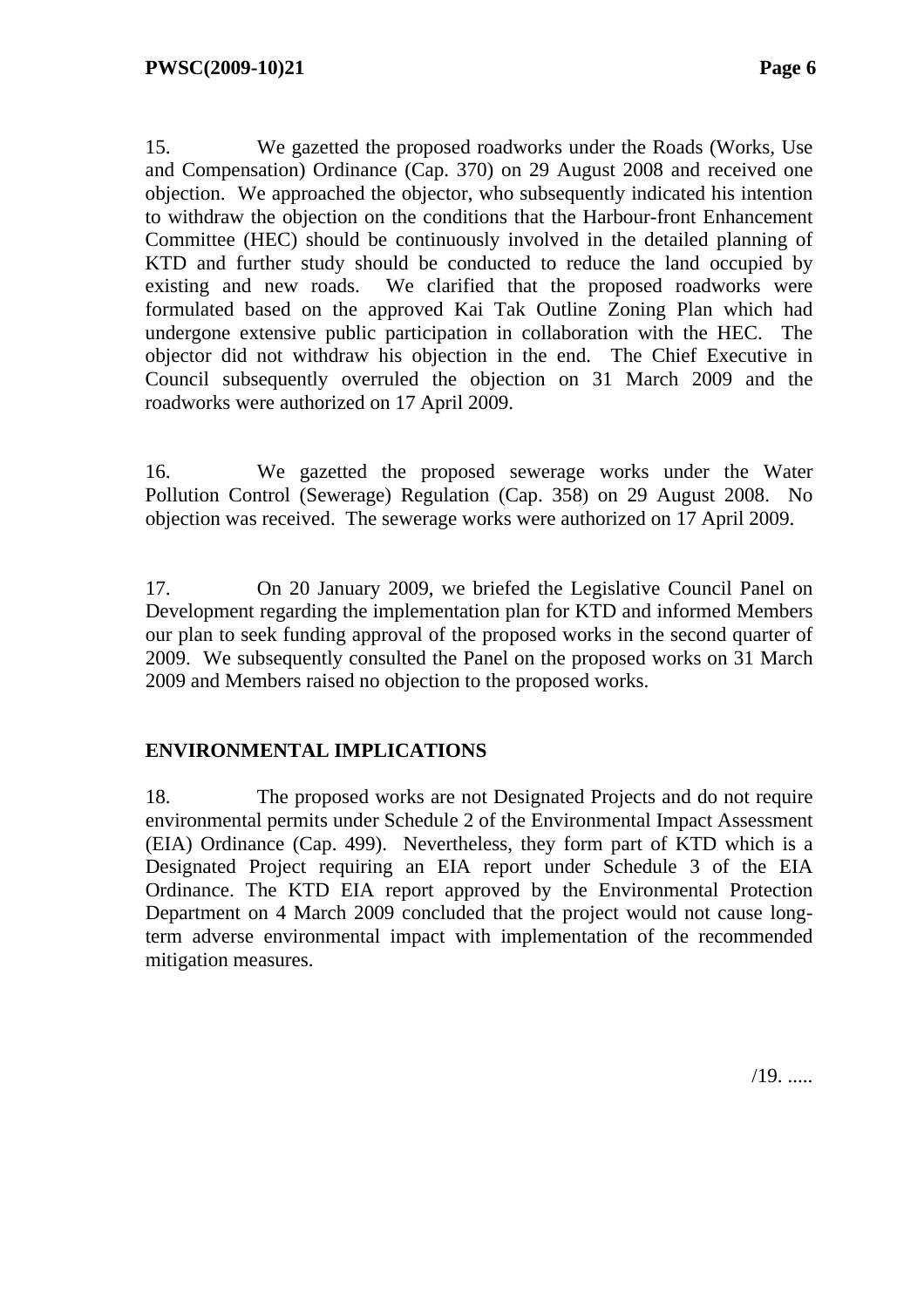15. We gazetted the proposed roadworks under the Roads (Works, Use and Compensation) Ordinance (Cap. 370) on 29 August 2008 and received one objection. We approached the objector, who subsequently indicated his intention to withdraw the objection on the conditions that the Harbour-front Enhancement Committee (HEC) should be continuously involved in the detailed planning of KTD and further study should be conducted to reduce the land occupied by existing and new roads. We clarified that the proposed roadworks were formulated based on the approved Kai Tak Outline Zoning Plan which had undergone extensive public participation in collaboration with the HEC. The objector did not withdraw his objection in the end. The Chief Executive in Council subsequently overruled the objection on 31 March 2009 and the roadworks were authorized on 17 April 2009.

16. We gazetted the proposed sewerage works under the Water Pollution Control (Sewerage) Regulation (Cap. 358) on 29 August 2008. No objection was received. The sewerage works were authorized on 17 April 2009.

17. On 20 January 2009, we briefed the Legislative Council Panel on Development regarding the implementation plan for KTD and informed Members our plan to seek funding approval of the proposed works in the second quarter of 2009. We subsequently consulted the Panel on the proposed works on 31 March 2009 and Members raised no objection to the proposed works.

#### **ENVIRONMENTAL IMPLICATIONS**

18. The proposed works are not Designated Projects and do not require environmental permits under Schedule 2 of the Environmental Impact Assessment (EIA) Ordinance (Cap. 499). Nevertheless, they form part of KTD which is a Designated Project requiring an EIA report under Schedule 3 of the EIA Ordinance. The KTD EIA report approved by the Environmental Protection Department on 4 March 2009 concluded that the project would not cause longterm adverse environmental impact with implementation of the recommended mitigation measures.

 $/19.$ ......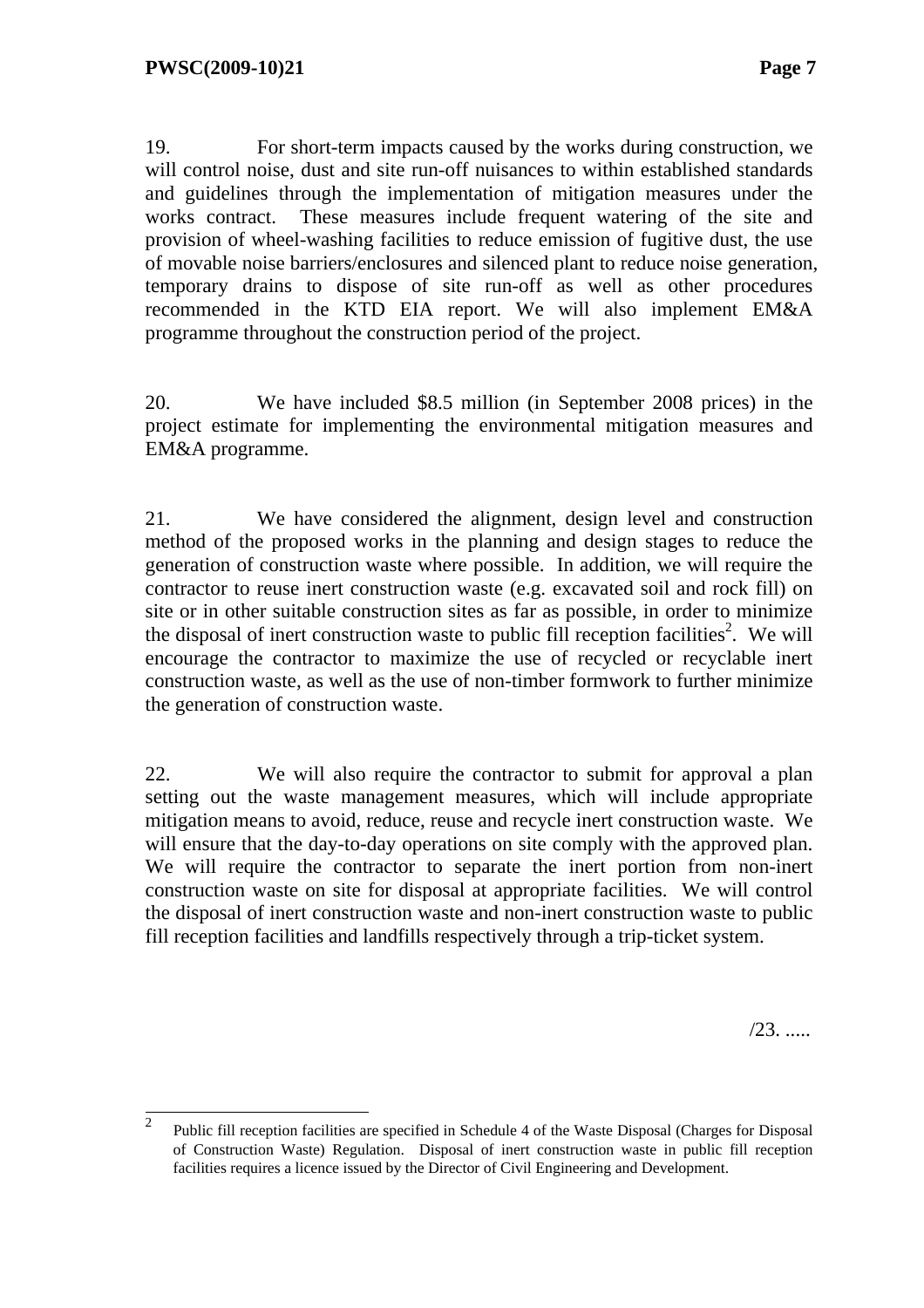19. For short-term impacts caused by the works during construction, we will control noise, dust and site run-off nuisances to within established standards and guidelines through the implementation of mitigation measures under the works contract. These measures include frequent watering of the site and provision of wheel-washing facilities to reduce emission of fugitive dust, the use of movable noise barriers/enclosures and silenced plant to reduce noise generation, temporary drains to dispose of site run-off as well as other procedures recommended in the KTD EIA report. We will also implement EM&A programme throughout the construction period of the project.

20. We have included \$8.5 million (in September 2008 prices) in the project estimate for implementing the environmental mitigation measures and EM&A programme.

21. We have considered the alignment, design level and construction method of the proposed works in the planning and design stages to reduce the generation of construction waste where possible. In addition, we will require the contractor to reuse inert construction waste (e.g. excavated soil and rock fill) on site or in other suitable construction sites as far as possible, in order to minimize the disposal of inert construction waste to public fill reception facilities<sup>2</sup>. We will encourage the contractor to maximize the use of recycled or recyclable inert construction waste, as well as the use of non-timber formwork to further minimize the generation of construction waste.

22. We will also require the contractor to submit for approval a plan setting out the waste management measures, which will include appropriate mitigation means to avoid, reduce, reuse and recycle inert construction waste. We will ensure that the day-to-day operations on site comply with the approved plan. We will require the contractor to separate the inert portion from non-inert construction waste on site for disposal at appropriate facilities. We will control the disposal of inert construction waste and non-inert construction waste to public fill reception facilities and landfills respectively through a trip-ticket system.

 $/23.$  ......

 2 Public fill reception facilities are specified in Schedule 4 of the Waste Disposal (Charges for Disposal of Construction Waste) Regulation. Disposal of inert construction waste in public fill reception facilities requires a licence issued by the Director of Civil Engineering and Development.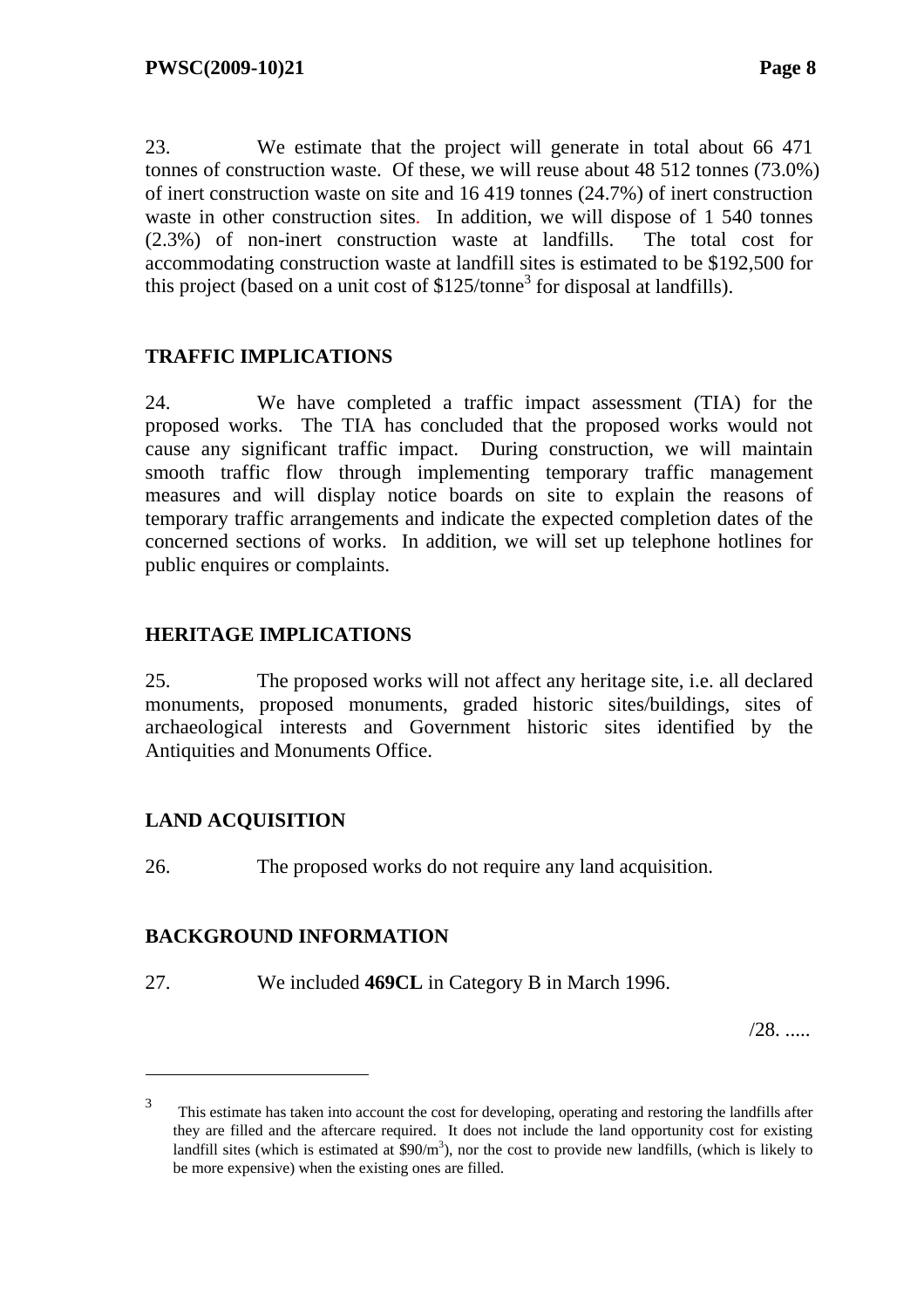23. We estimate that the project will generate in total about 66 471 tonnes of construction waste. Of these, we will reuse about 48 512 tonnes (73.0%) of inert construction waste on site and 16 419 tonnes (24.7%) of inert construction waste in other construction sites. In addition, we will dispose of 1 540 tonnes (2.3%) of non-inert construction waste at landfills. The total cost for accommodating construction waste at landfill sites is estimated to be \$192,500 for this project (based on a unit cost of  $$125/tonne<sup>3</sup>$  for disposal at landfills).

# **TRAFFIC IMPLICATIONS**

24. We have completed a traffic impact assessment (TIA) for the proposed works. The TIA has concluded that the proposed works would not cause any significant traffic impact. During construction, we will maintain smooth traffic flow through implementing temporary traffic management measures and will display notice boards on site to explain the reasons of temporary traffic arrangements and indicate the expected completion dates of the concerned sections of works. In addition, we will set up telephone hotlines for public enquires or complaints.

# **HERITAGE IMPLICATIONS**

25. The proposed works will not affect any heritage site, i.e. all declared monuments, proposed monuments, graded historic sites/buildings, sites of archaeological interests and Government historic sites identified by the Antiquities and Monuments Office.

#### **LAND ACQUISITION**

 $\overline{a}$ 

26. The proposed works do not require any land acquisition.

#### **BACKGROUND INFORMATION**

27. We included **469CL** in Category B in March 1996.

/28. .....

<sup>3</sup> This estimate has taken into account the cost for developing, operating and restoring the landfills after they are filled and the aftercare required. It does not include the land opportunity cost for existing landfill sites (which is estimated at  $$90/m^3$ ), nor the cost to provide new landfills, (which is likely to be more expensive) when the existing ones are filled.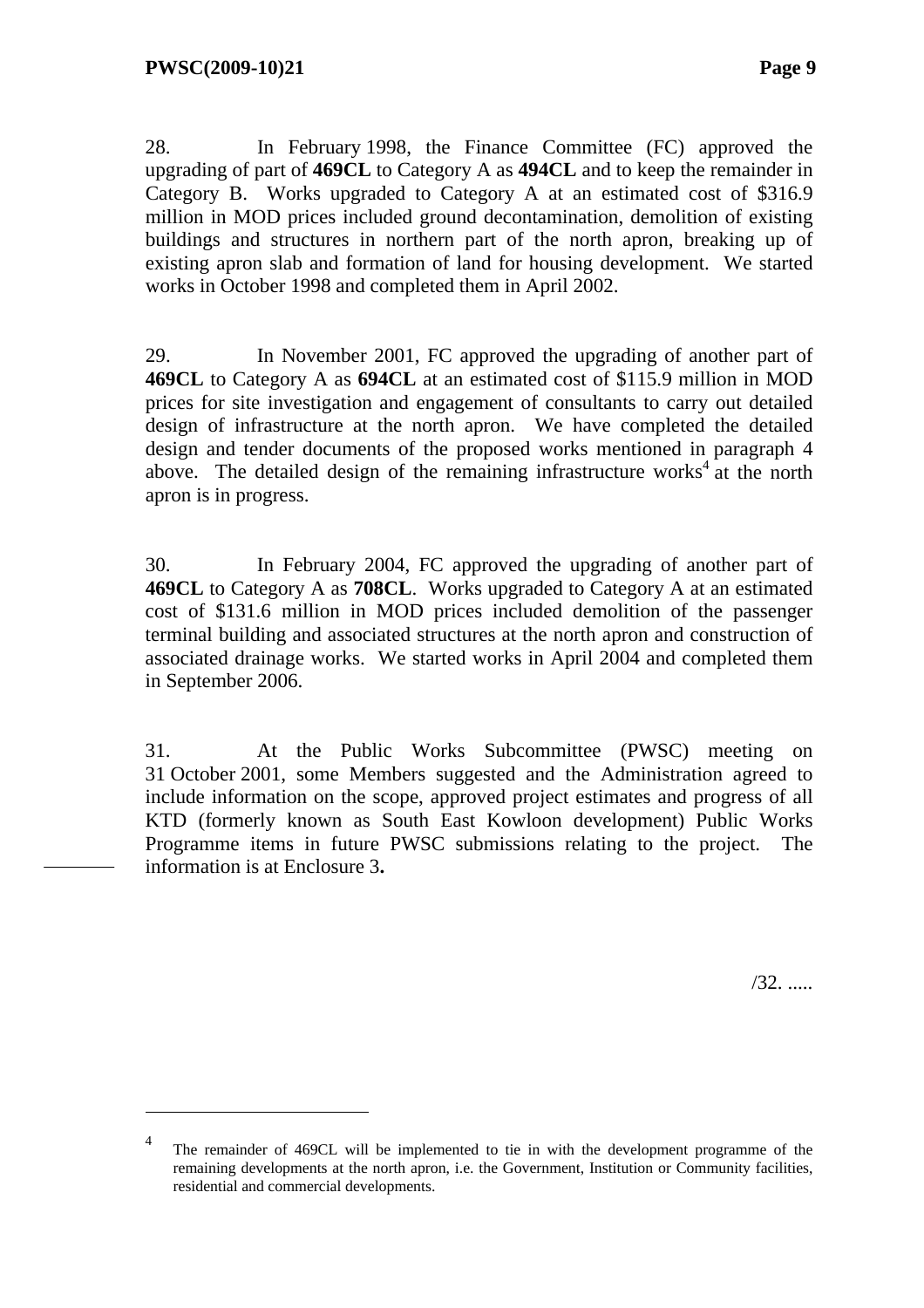$\overline{a}$ 

28. In February 1998, the Finance Committee (FC) approved the upgrading of part of **469CL** to Category A as **494CL** and to keep the remainder in Category B. Works upgraded to Category A at an estimated cost of \$316.9 million in MOD prices included ground decontamination, demolition of existing buildings and structures in northern part of the north apron, breaking up of existing apron slab and formation of land for housing development. We started works in October 1998 and completed them in April 2002.

29. In November 2001, FC approved the upgrading of another part of **469CL** to Category A as **694CL** at an estimated cost of \$115.9 million in MOD prices for site investigation and engagement of consultants to carry out detailed design of infrastructure at the north apron. We have completed the detailed design and tender documents of the proposed works mentioned in paragraph 4 above. The detailed design of the remaining infrastructure works<sup>4</sup> at the north apron is in progress.

30. In February 2004, FC approved the upgrading of another part of **469CL** to Category A as **708CL**. Works upgraded to Category A at an estimated cost of \$131.6 million in MOD prices included demolition of the passenger terminal building and associated structures at the north apron and construction of associated drainage works. We started works in April 2004 and completed them in September 2006.

31. At the Public Works Subcommittee (PWSC) meeting on 31 October 2001, some Members suggested and the Administration agreed to include information on the scope, approved project estimates and progress of all KTD (formerly known as South East Kowloon development) Public Works Programme items in future PWSC submissions relating to the project. The information is at Enclosure 3**.**

/32. .....

<sup>4</sup> The remainder of 469CL will be implemented to tie in with the development programme of the remaining developments at the north apron, i.e. the Government, Institution or Community facilities, residential and commercial developments.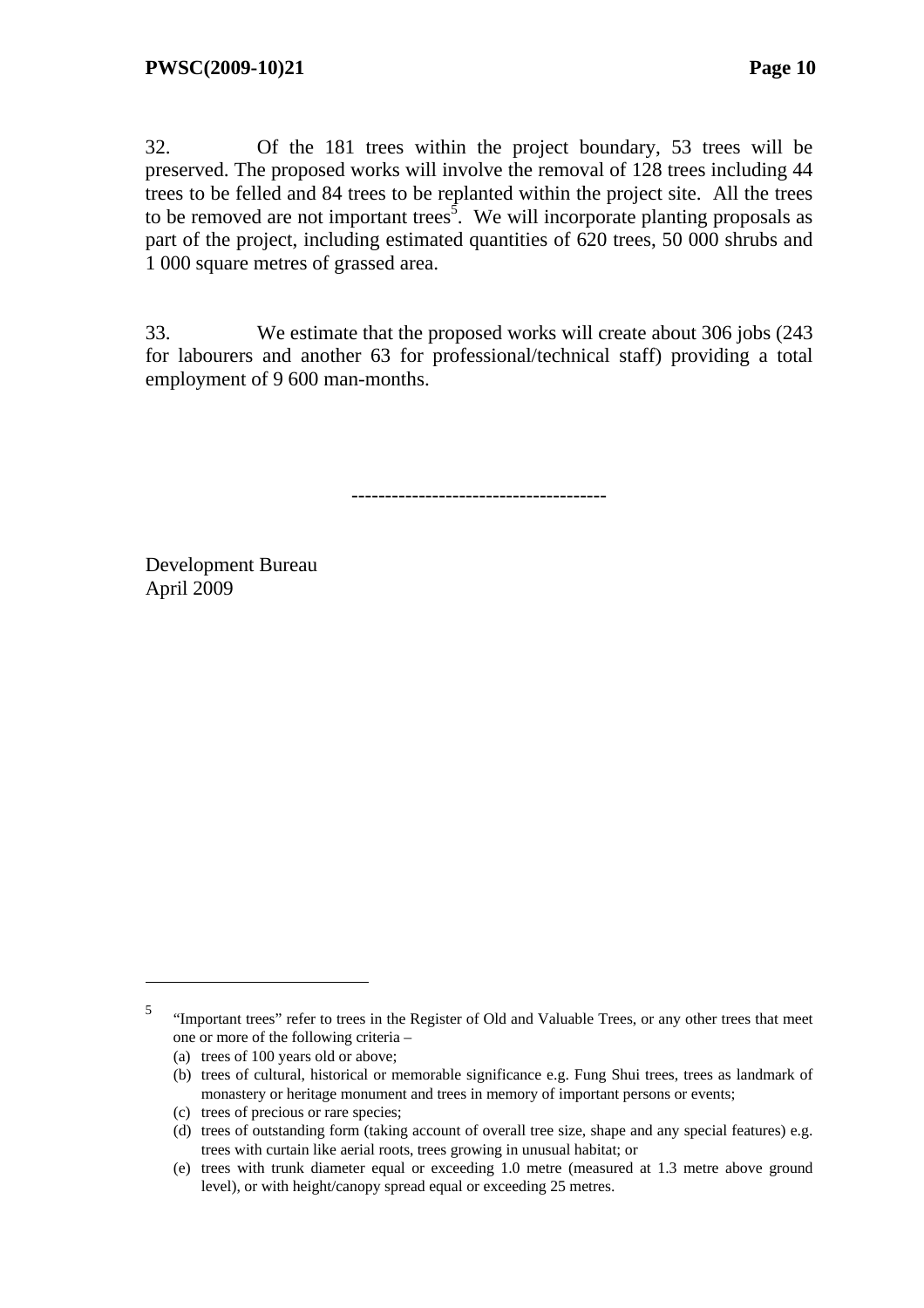32. Of the 181 trees within the project boundary, 53 trees will be preserved. The proposed works will involve the removal of 128 trees including 44 trees to be felled and 84 trees to be replanted within the project site. All the trees to be removed are not important trees<sup>5</sup>. We will incorporate planting proposals as part of the project, including estimated quantities of 620 trees, 50 000 shrubs and 1 000 square metres of grassed area.

33. We estimate that the proposed works will create about 306 jobs (243 for labourers and another 63 for professional/technical staff) providing a total employment of 9 600 man-months.

--------------------------------------

Development Bureau April 2009

 $\overline{a}$ 

<sup>5</sup> "Important trees" refer to trees in the Register of Old and Valuable Trees, or any other trees that meet one or more of the following criteria –

<sup>(</sup>a) trees of 100 years old or above;

<sup>(</sup>b) trees of cultural, historical or memorable significance e.g. Fung Shui trees, trees as landmark of monastery or heritage monument and trees in memory of important persons or events;

<sup>(</sup>c) trees of precious or rare species;

<sup>(</sup>d) trees of outstanding form (taking account of overall tree size, shape and any special features) e.g. trees with curtain like aerial roots, trees growing in unusual habitat; or

<sup>(</sup>e) trees with trunk diameter equal or exceeding 1.0 metre (measured at 1.3 metre above ground level), or with height/canopy spread equal or exceeding 25 metres.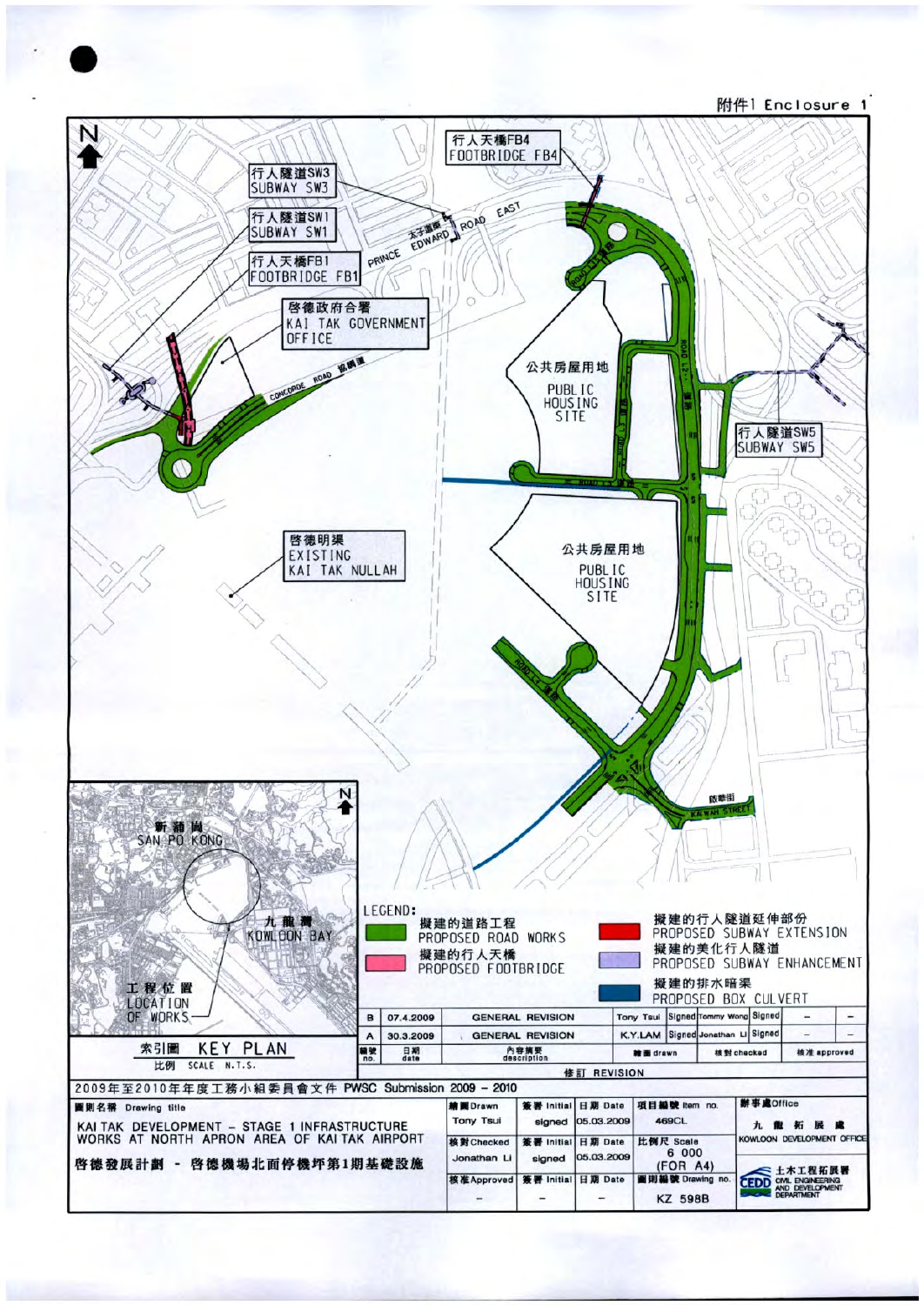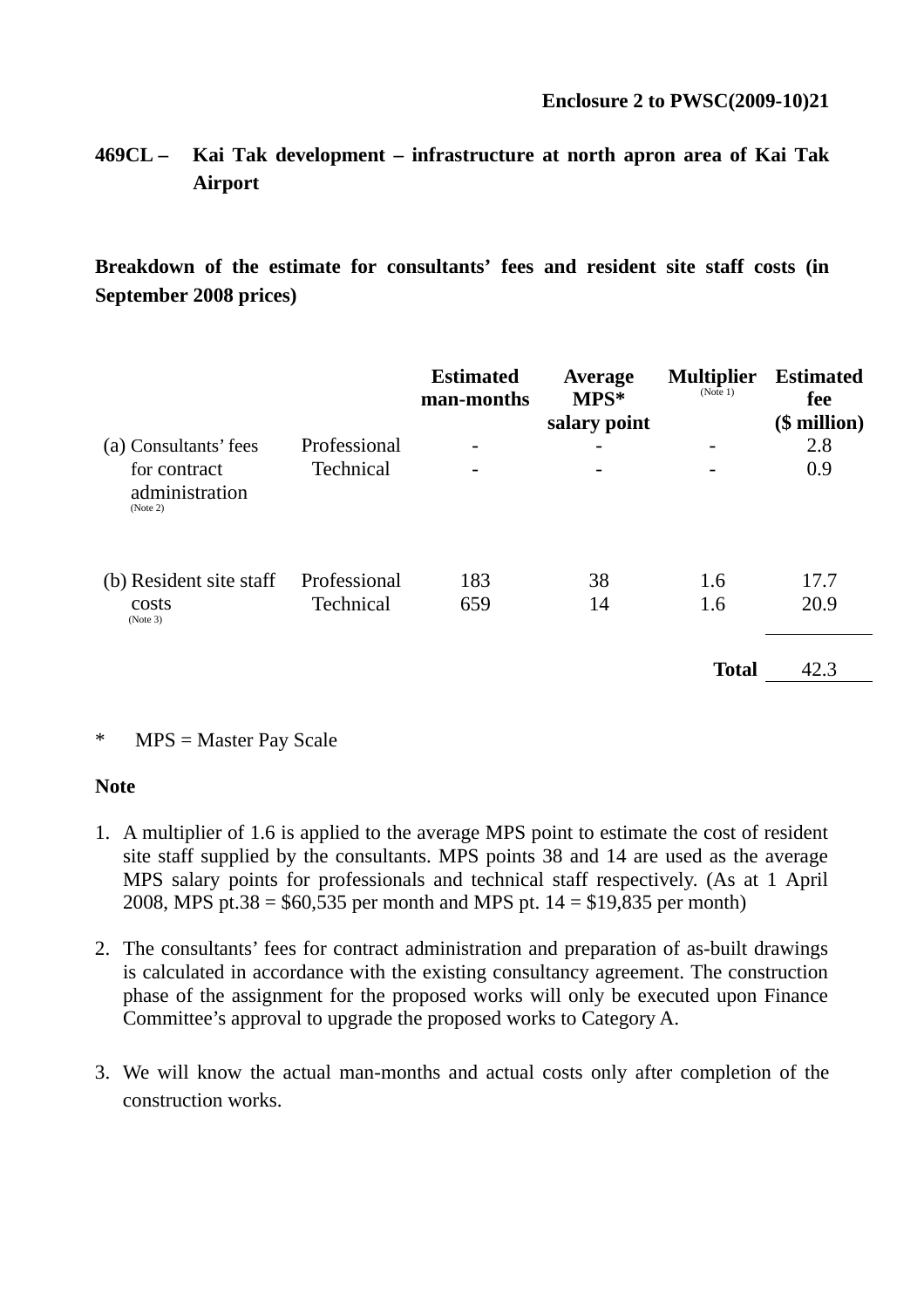# **469CL – Kai Tak development – infrastructure at north apron area of Kai Tak Airport**

**Breakdown of the estimate for consultants' fees and resident site staff costs (in September 2008 prices)**

|                                                                     |                           | <b>Estimated</b><br>man-months | Average<br>$MPS*$<br>salary point | <b>Multiplier</b><br>(Note 1) | <b>Estimated</b><br>fee<br>$$$ million) |
|---------------------------------------------------------------------|---------------------------|--------------------------------|-----------------------------------|-------------------------------|-----------------------------------------|
| (a) Consultants' fees<br>for contract<br>administration<br>(Note 2) | Professional<br>Technical | -<br>-                         | -                                 |                               | 2.8<br>0.9                              |
| (b) Resident site staff<br>costs<br>(Note 3)                        | Professional<br>Technical | 183<br>659                     | 38<br>14                          | 1.6<br>1.6                    | 17.7<br>20.9                            |
|                                                                     |                           |                                |                                   | <b>Total</b>                  | 42.3                                    |

#### \* MPS = Master Pay Scale

#### **Note**

- 1. A multiplier of 1.6 is applied to the average MPS point to estimate the cost of resident site staff supplied by the consultants. MPS points 38 and 14 are used as the average MPS salary points for professionals and technical staff respectively. (As at 1 April 2008, MPS pt.38 =  $$60,535$  per month and MPS pt. 14 =  $$19,835$  per month)
- 2. The consultants' fees for contract administration and preparation of as-built drawings is calculated in accordance with the existing consultancy agreement. The construction phase of the assignment for the proposed works will only be executed upon Finance Committee's approval to upgrade the proposed works to Category A.
- 3. We will know the actual man-months and actual costs only after completion of the construction works.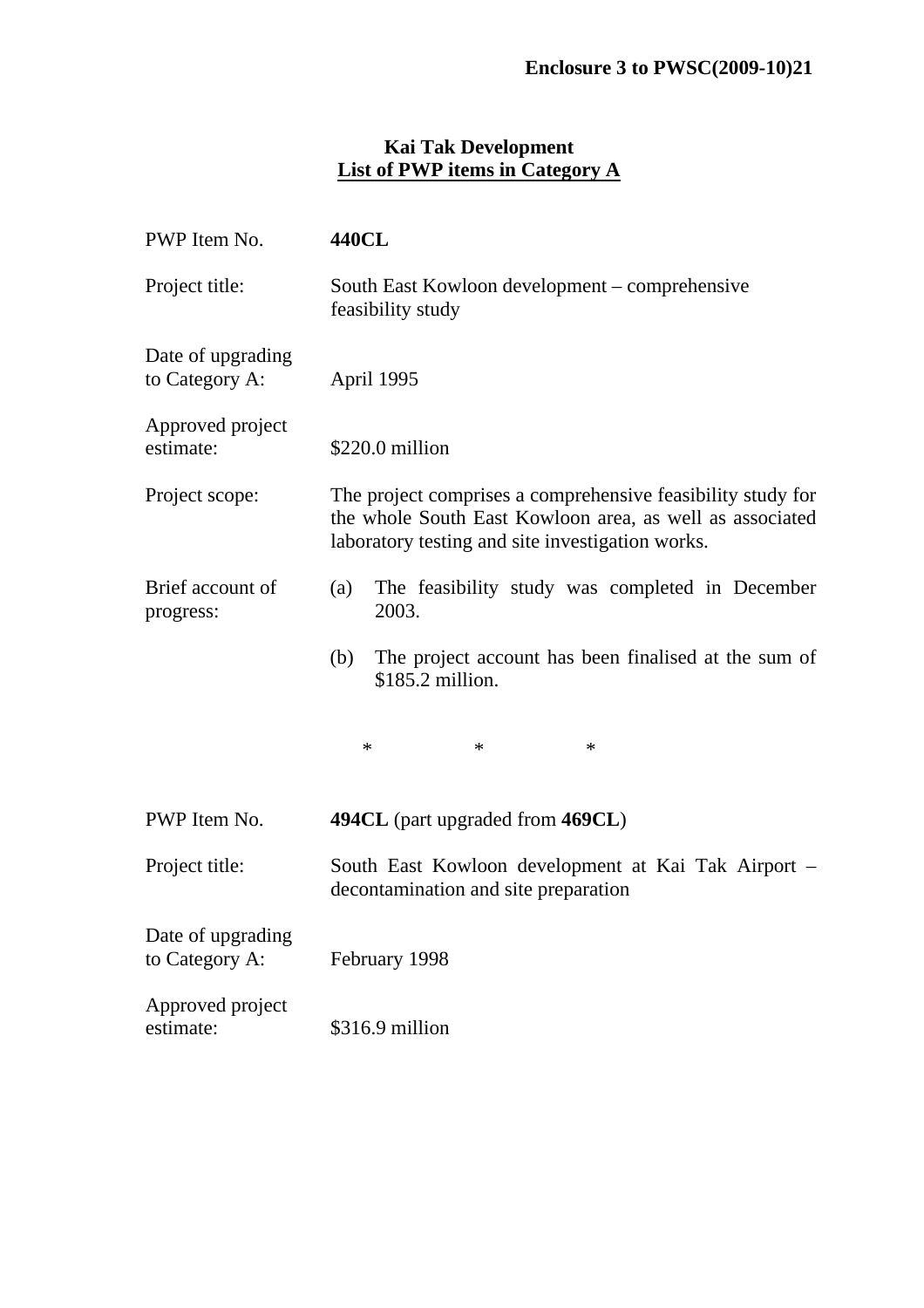#### **Kai Tak Development List of PWP items in Category A**

| PWP Item No.                        | <b>440CL</b>                                                                                                                                                                |  |  |  |
|-------------------------------------|-----------------------------------------------------------------------------------------------------------------------------------------------------------------------------|--|--|--|
| Project title:                      | South East Kowloon development – comprehensive<br>feasibility study                                                                                                         |  |  |  |
| Date of upgrading<br>to Category A: | April 1995                                                                                                                                                                  |  |  |  |
| Approved project<br>estimate:       | \$220.0 million                                                                                                                                                             |  |  |  |
| Project scope:                      | The project comprises a comprehensive feasibility study for<br>the whole South East Kowloon area, as well as associated<br>laboratory testing and site investigation works. |  |  |  |
| Brief account of<br>progress:       | The feasibility study was completed in December<br>(a)<br>2003.                                                                                                             |  |  |  |
|                                     | (b)<br>The project account has been finalised at the sum of<br>\$185.2 million.                                                                                             |  |  |  |
|                                     | $\ast$<br>$\ast$<br>$\ast$                                                                                                                                                  |  |  |  |
| PWP Item No.                        | 494CL (part upgraded from 469CL)                                                                                                                                            |  |  |  |
| Project title:                      | South East Kowloon development at Kai Tak Airport -<br>decontamination and site preparation                                                                                 |  |  |  |
| Date of upgrading<br>to Category A: | February 1998                                                                                                                                                               |  |  |  |
| Approved project<br>estimate:       | \$316.9 million                                                                                                                                                             |  |  |  |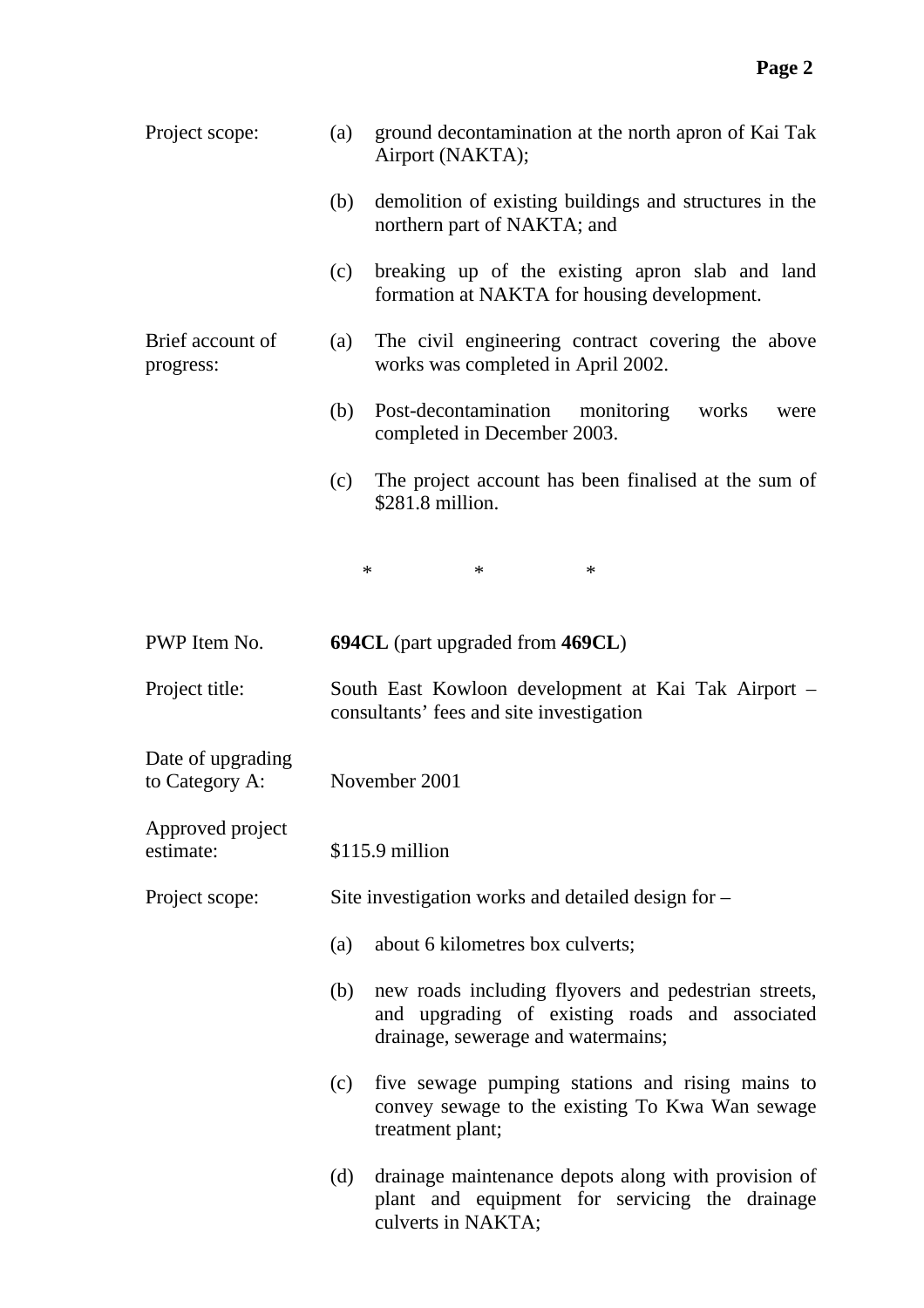| Project scope:                      | (a) | ground decontamination at the north apron of Kai Tak<br>Airport (NAKTA);                                                                     |
|-------------------------------------|-----|----------------------------------------------------------------------------------------------------------------------------------------------|
|                                     | (b) | demolition of existing buildings and structures in the<br>northern part of NAKTA; and                                                        |
|                                     | (c) | breaking up of the existing apron slab and land<br>formation at NAKTA for housing development.                                               |
| Brief account of<br>progress:       | (a) | The civil engineering contract covering the above<br>works was completed in April 2002.                                                      |
|                                     | (b) | Post-decontamination monitoring<br>works<br>were<br>completed in December 2003.                                                              |
|                                     | (c) | The project account has been finalised at the sum of<br>\$281.8 million.                                                                     |
|                                     |     | $\ast$<br>$\ast$<br>$\ast$                                                                                                                   |
| PWP Item No.                        |     | <b>694CL</b> (part upgraded from 469CL)                                                                                                      |
| Project title:                      |     | South East Kowloon development at Kai Tak Airport –<br>consultants' fees and site investigation                                              |
| Date of upgrading<br>to Category A: |     | November 2001                                                                                                                                |
| Approved project<br>estimate:       |     | \$115.9 million                                                                                                                              |
| Project scope:                      |     | Site investigation works and detailed design for –                                                                                           |
|                                     | (a) | about 6 kilometres box culverts;                                                                                                             |
|                                     | (b) | new roads including flyovers and pedestrian streets,<br>and upgrading of existing roads and associated<br>drainage, sewerage and watermains; |
|                                     | (c) | five sewage pumping stations and rising mains to<br>convey sewage to the existing To Kwa Wan sewage<br>treatment plant;                      |
|                                     | (d) | drainage maintenance depots along with provision of<br>plant and equipment for servicing the drainage<br>culverts in NAKTA;                  |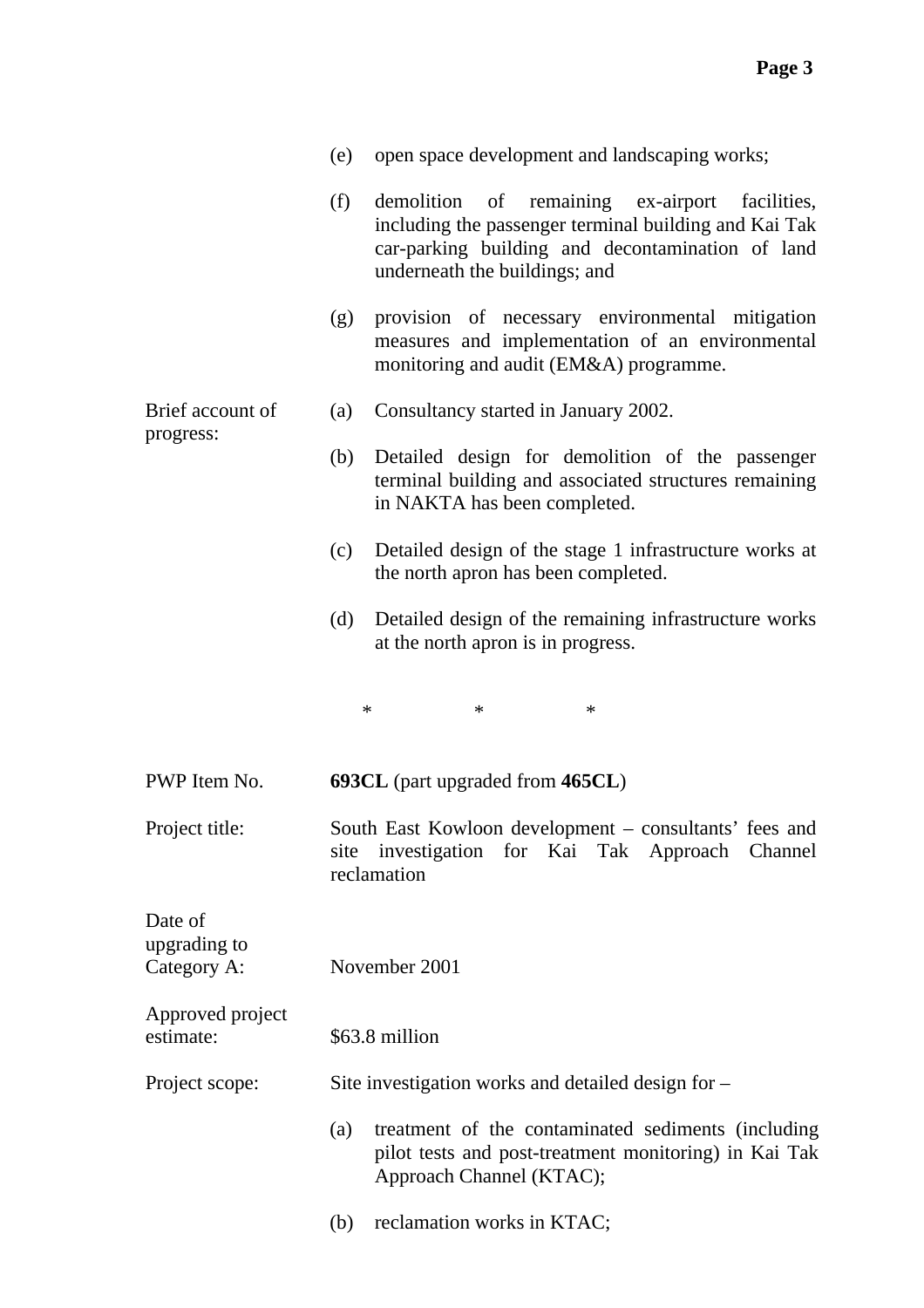|                                        | (e) | open space development and landscaping works;                                                                                                                                                   |
|----------------------------------------|-----|-------------------------------------------------------------------------------------------------------------------------------------------------------------------------------------------------|
|                                        | (f) | demolition of remaining ex-airport<br>facilities,<br>including the passenger terminal building and Kai Tak<br>car-parking building and decontamination of land<br>underneath the buildings; and |
|                                        | (g) | provision of necessary environmental mitigation<br>measures and implementation of an environmental<br>monitoring and audit (EM&A) programme.                                                    |
| Brief account of<br>progress:          | (a) | Consultancy started in January 2002.                                                                                                                                                            |
|                                        | (b) | Detailed design for demolition of the passenger<br>terminal building and associated structures remaining<br>in NAKTA has been completed.                                                        |
|                                        | (c) | Detailed design of the stage 1 infrastructure works at<br>the north apron has been completed.                                                                                                   |
|                                        | (d) | Detailed design of the remaining infrastructure works<br>at the north apron is in progress.                                                                                                     |
|                                        |     | $\ast$<br>$\ast$<br>∗                                                                                                                                                                           |
| PWP Item No.                           |     | 693CL (part upgraded from 465CL)                                                                                                                                                                |
| Project title:                         |     | South East Kowloon development – consultants' fees and<br>site investigation for Kai Tak Approach Channel<br>reclamation                                                                        |
| Date of<br>upgrading to<br>Category A: |     | November 2001                                                                                                                                                                                   |
| Approved project<br>estimate:          |     | \$63.8 million                                                                                                                                                                                  |
| Project scope:                         |     | Site investigation works and detailed design for –                                                                                                                                              |
|                                        | (a) | treatment of the contaminated sediments (including<br>pilot tests and post-treatment monitoring) in Kai Tak<br>Approach Channel (KTAC);                                                         |
|                                        | (b) | reclamation works in KTAC;                                                                                                                                                                      |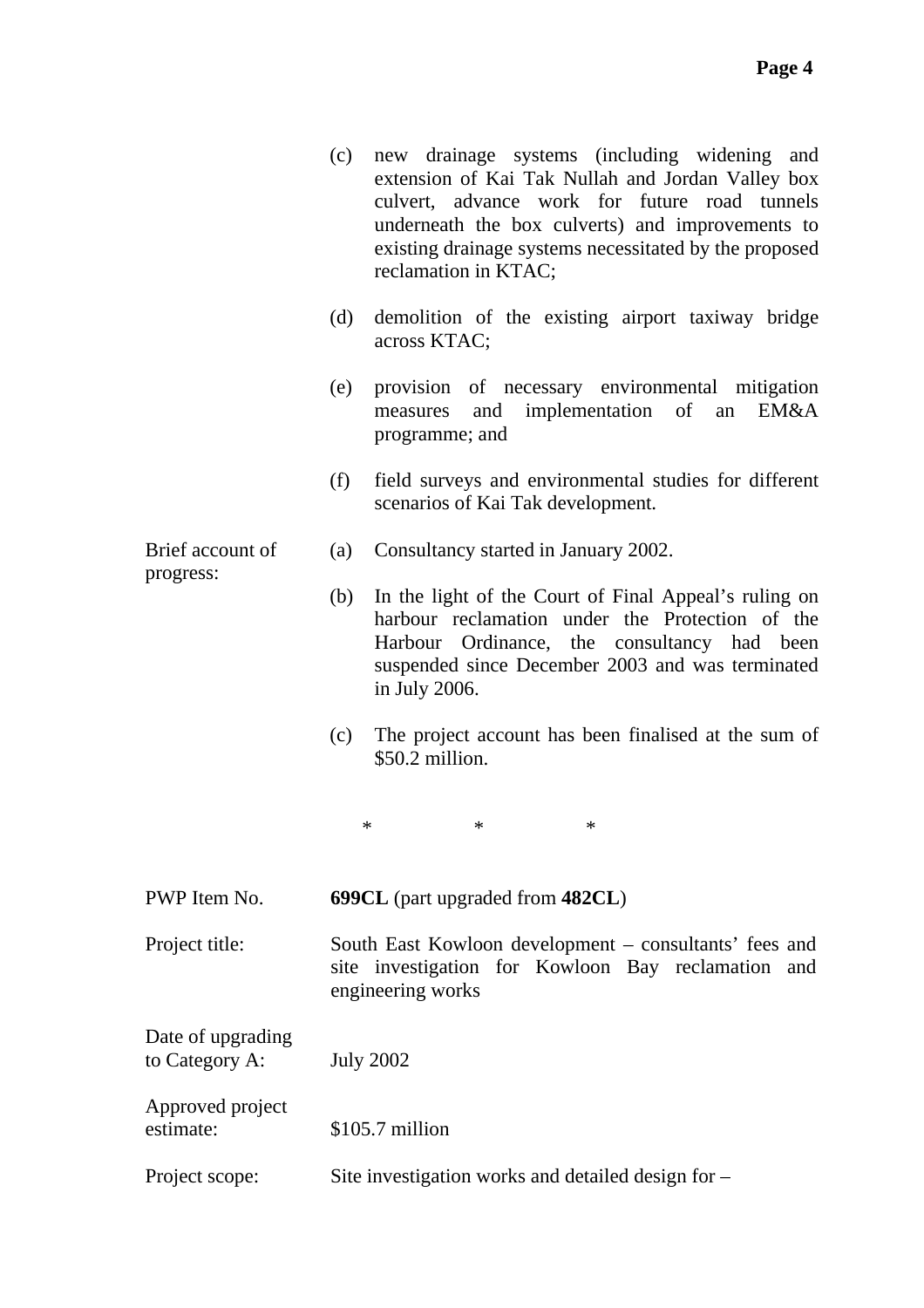| (c) new drainage systems (including widening and       |
|--------------------------------------------------------|
| extension of Kai Tak Nullah and Jordan Valley box      |
| culvert, advance work for future road tunnels          |
| underneath the box culverts) and improvements to       |
| existing drainage systems necessitated by the proposed |
| reclamation in KTAC;                                   |
|                                                        |

- (d) demolition of the existing airport taxiway bridge across KTAC;
- (e) provision of necessary environmental mitigation measures and implementation of an EM&A programme; and
- (f) field surveys and environmental studies for different scenarios of Kai Tak development.
- (a) Consultancy started in January 2002.
	- (b) In the light of the Court of Final Appeal's ruling on harbour reclamation under the Protection of the Harbour Ordinance, the consultancy had been suspended since December 2003 and was terminated in July 2006.
	- (c) The project account has been finalised at the sum of \$50.2 million.

 $*$  \* \* \*

- PWP Item No. **699CL** (part upgraded from **482CL**)
- Project title: South East Kowloon development consultants' fees and site investigation for Kowloon Bay reclamation and engineering works
- Date of upgrading to Category A: July 2002

Brief account of

progress:

Approved project estimate: \$105.7 million

Project scope: Site investigation works and detailed design for –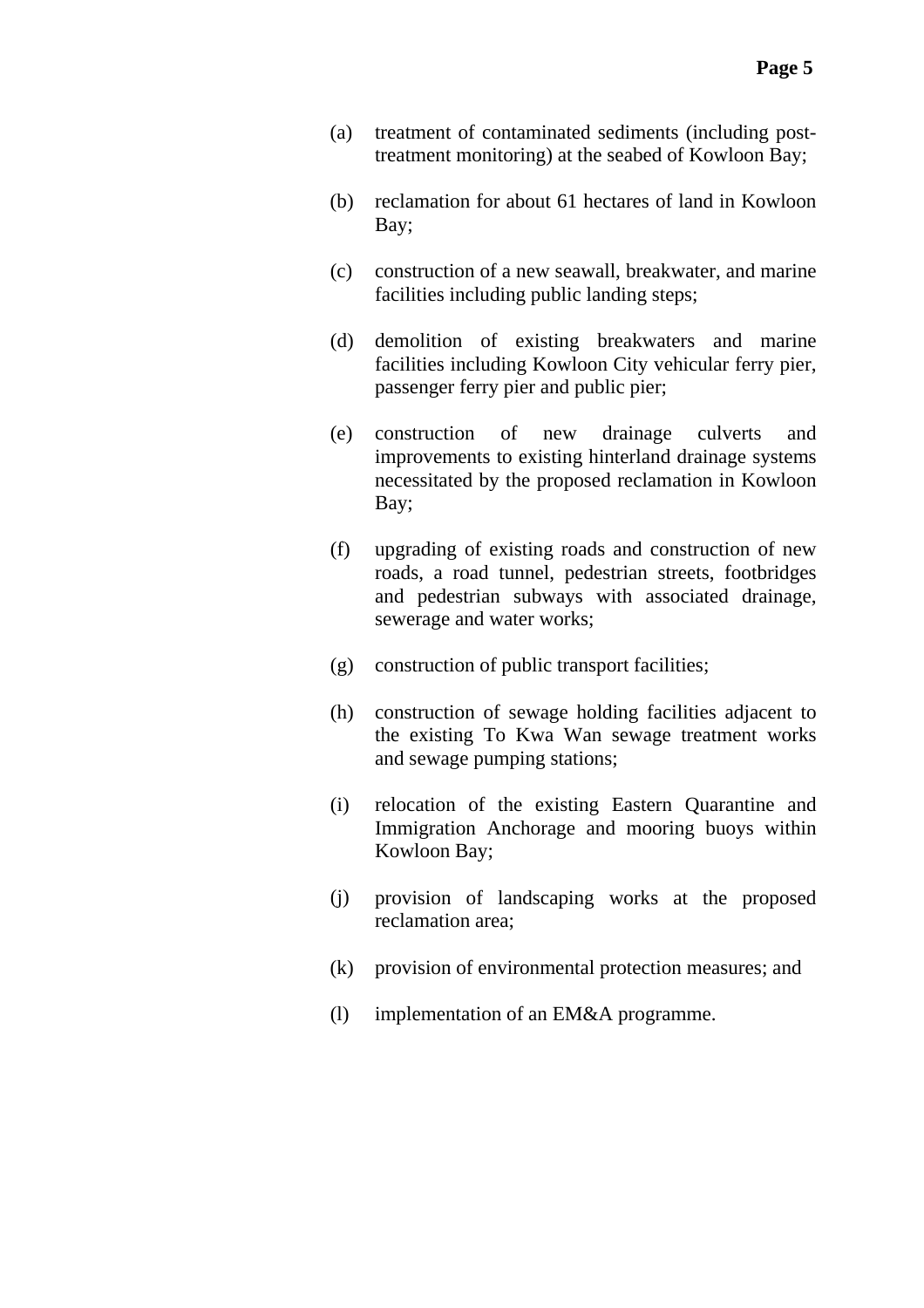- (a) treatment of contaminated sediments (including posttreatment monitoring) at the seabed of Kowloon Bay;
- (b) reclamation for about 61 hectares of land in Kowloon Bay;
- (c) construction of a new seawall, breakwater, and marine facilities including public landing steps;
- (d) demolition of existing breakwaters and marine facilities including Kowloon City vehicular ferry pier, passenger ferry pier and public pier;
- (e) construction of new drainage culverts and improvements to existing hinterland drainage systems necessitated by the proposed reclamation in Kowloon Bay;
- (f) upgrading of existing roads and construction of new roads, a road tunnel, pedestrian streets, footbridges and pedestrian subways with associated drainage, sewerage and water works;
- (g) construction of public transport facilities;
- (h) construction of sewage holding facilities adjacent to the existing To Kwa Wan sewage treatment works and sewage pumping stations;
- (i) relocation of the existing Eastern Quarantine and Immigration Anchorage and mooring buoys within Kowloon Bay;
- (j) provision of landscaping works at the proposed reclamation area;
- (k) provision of environmental protection measures; and
- (l) implementation of an EM&A programme.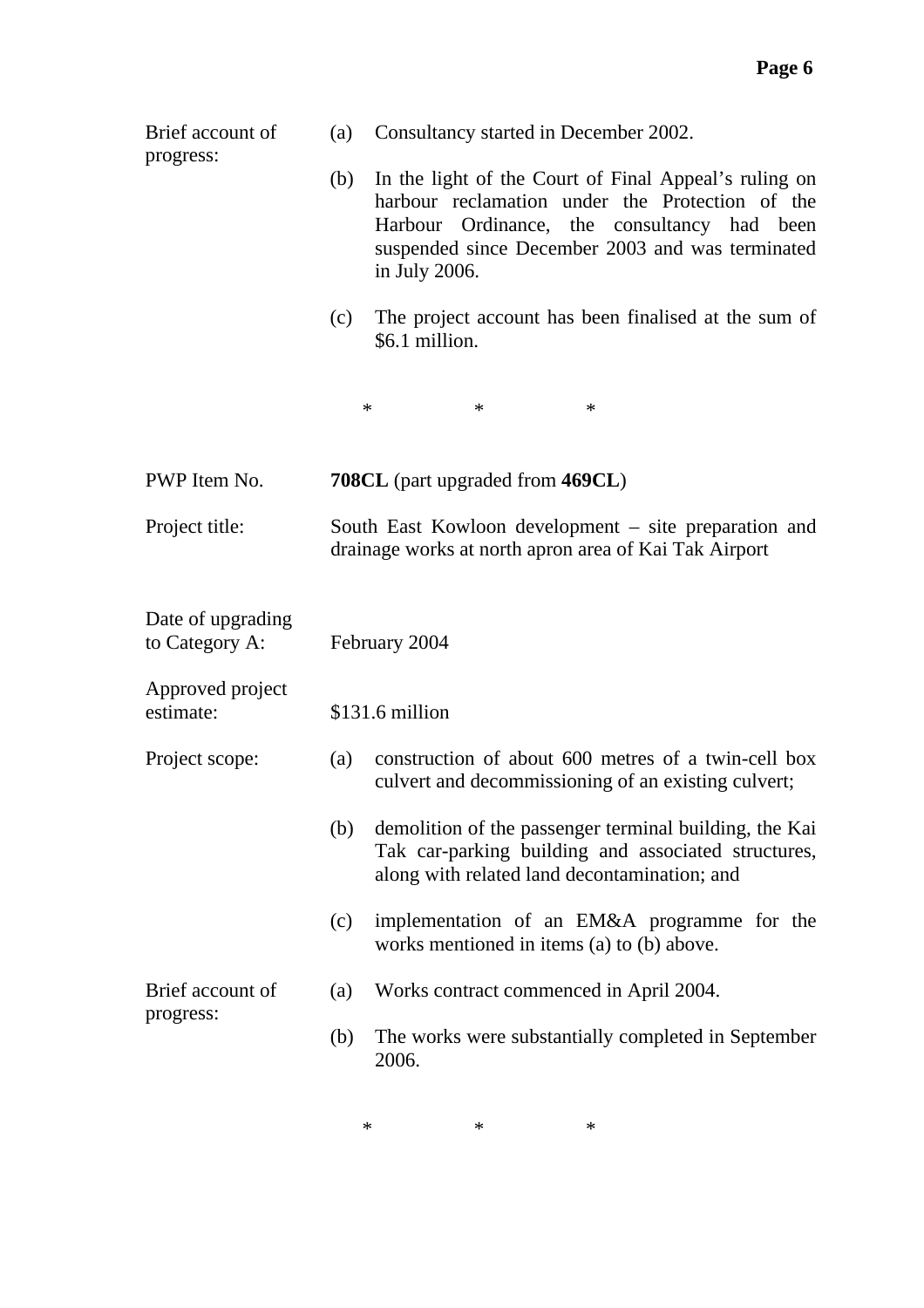| Brief account of<br>progress:       | (a)                                                                                                            | Consultancy started in December 2002.                                                                                                                                                                                        |  |
|-------------------------------------|----------------------------------------------------------------------------------------------------------------|------------------------------------------------------------------------------------------------------------------------------------------------------------------------------------------------------------------------------|--|
|                                     | (b)                                                                                                            | In the light of the Court of Final Appeal's ruling on<br>harbour reclamation under the Protection of the<br>Harbour Ordinance, the consultancy had been<br>suspended since December 2003 and was terminated<br>in July 2006. |  |
|                                     | (c)                                                                                                            | The project account has been finalised at the sum of<br>\$6.1 million.                                                                                                                                                       |  |
|                                     | $\ast$                                                                                                         | $\ast$<br>∗                                                                                                                                                                                                                  |  |
| PWP Item No.                        |                                                                                                                | 708CL (part upgraded from 469CL)                                                                                                                                                                                             |  |
| Project title:                      | South East Kowloon development – site preparation and<br>drainage works at north apron area of Kai Tak Airport |                                                                                                                                                                                                                              |  |
| Date of upgrading<br>to Category A: |                                                                                                                | February 2004                                                                                                                                                                                                                |  |
| Approved project<br>estimate:       |                                                                                                                | \$131.6 million                                                                                                                                                                                                              |  |
| Project scope:                      | (a)                                                                                                            | construction of about 600 metres of a twin-cell box<br>culvert and decommissioning of an existing culvert;                                                                                                                   |  |
|                                     | (b)                                                                                                            | demolition of the passenger terminal building, the Kai<br>Tak car-parking building and associated structures,<br>along with related land decontamination; and                                                                |  |
|                                     | (c)                                                                                                            | implementation of an EM&A programme for the<br>works mentioned in items (a) to (b) above.                                                                                                                                    |  |
| Brief account of<br>progress:       | (a)                                                                                                            | Works contract commenced in April 2004.                                                                                                                                                                                      |  |
|                                     | (b)                                                                                                            | The works were substantially completed in September<br>2006.                                                                                                                                                                 |  |

 $*$  \*  $*$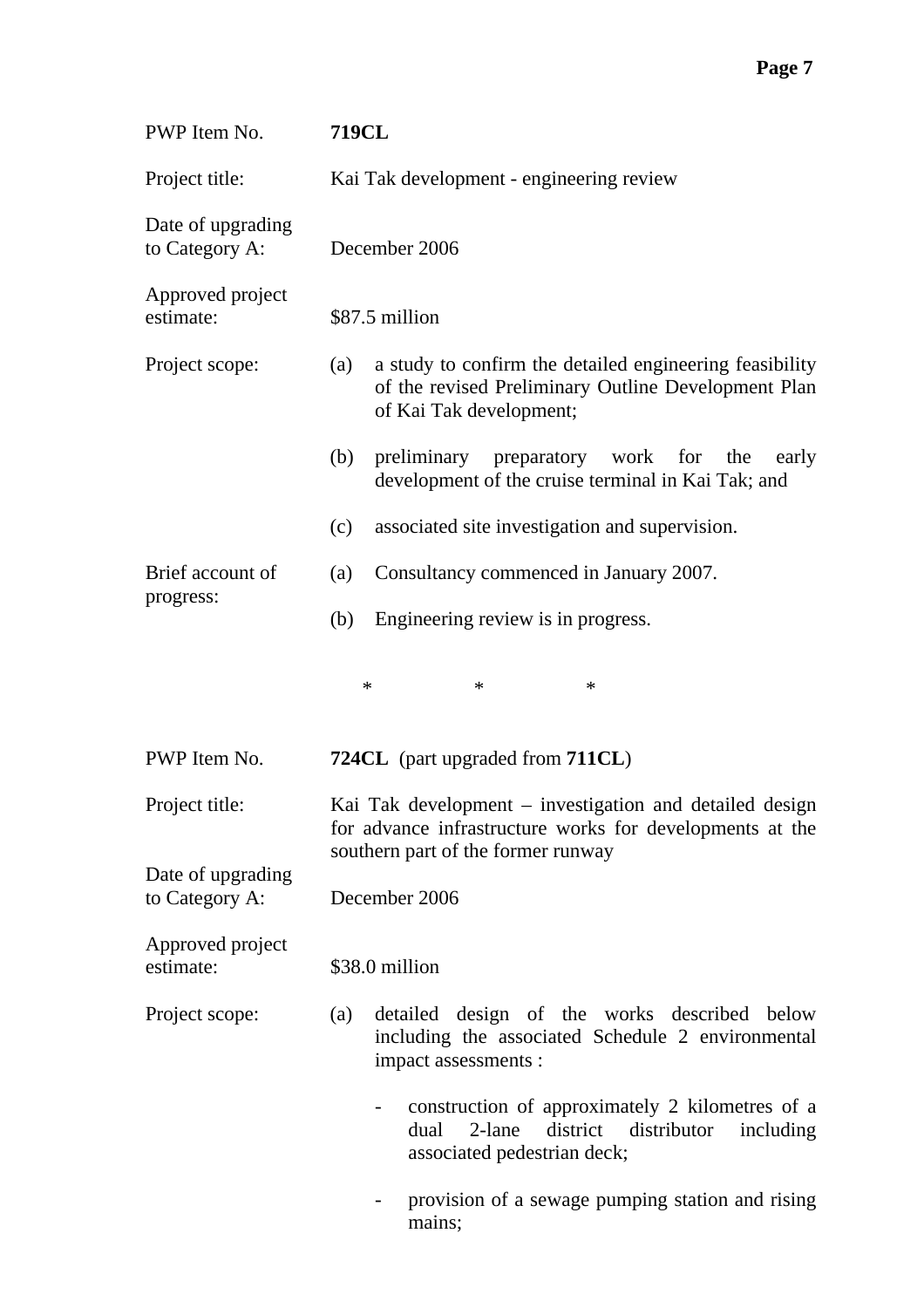| PWP Item No.                        | <b>719CL</b>                                                                                                                                              |  |  |  |
|-------------------------------------|-----------------------------------------------------------------------------------------------------------------------------------------------------------|--|--|--|
| Project title:                      | Kai Tak development - engineering review                                                                                                                  |  |  |  |
| Date of upgrading<br>to Category A: | December 2006                                                                                                                                             |  |  |  |
| Approved project<br>estimate:       | \$87.5 million                                                                                                                                            |  |  |  |
| Project scope:                      | a study to confirm the detailed engineering feasibility<br>(a)<br>of the revised Preliminary Outline Development Plan<br>of Kai Tak development;          |  |  |  |
|                                     | preliminary preparatory work<br>for the<br>(b)<br>early<br>development of the cruise terminal in Kai Tak; and                                             |  |  |  |
|                                     | associated site investigation and supervision.<br>(c)                                                                                                     |  |  |  |
| Brief account of                    | Consultancy commenced in January 2007.<br>(a)                                                                                                             |  |  |  |
| progress:                           | Engineering review is in progress.<br>(b)                                                                                                                 |  |  |  |
|                                     | ∗<br>$\ast$<br>*                                                                                                                                          |  |  |  |
| PWP Item No.                        | 724CL (part upgraded from 711CL)                                                                                                                          |  |  |  |
| Project title:                      | Kai Tak development – investigation and detailed design<br>for advance infrastructure works for developments at the<br>southern part of the former runway |  |  |  |
| Date of upgrading<br>to Category A: | December 2006                                                                                                                                             |  |  |  |
| Approved project<br>estimate:       | \$38.0 million                                                                                                                                            |  |  |  |
| Project scope:                      | detailed design of the works described below<br>(a)<br>including the associated Schedule 2 environmental<br>impact assessments :                          |  |  |  |
|                                     | construction of approximately 2 kilometres of a<br>district<br>2-lane<br>distributor<br>dual<br>including<br>associated pedestrian deck;                  |  |  |  |
|                                     | provision of a sewage pumping station and rising<br>mains;                                                                                                |  |  |  |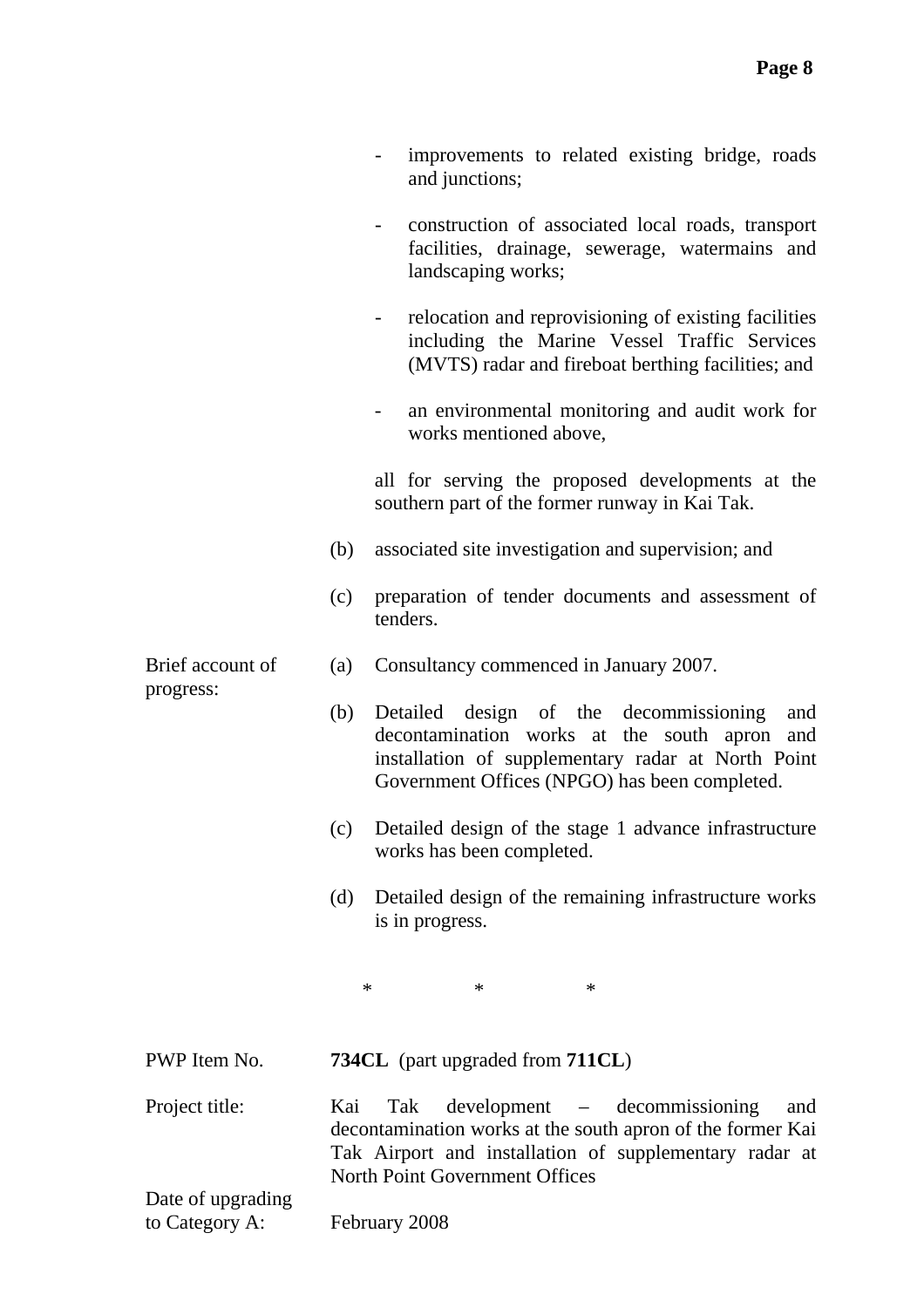|                   |     | improvements to related existing bridge, roads<br>and junctions;                                                                                                                                             |
|-------------------|-----|--------------------------------------------------------------------------------------------------------------------------------------------------------------------------------------------------------------|
|                   |     | construction of associated local roads, transport<br>facilities, drainage, sewerage, watermains and<br>landscaping works;                                                                                    |
|                   |     | relocation and reprovisioning of existing facilities<br>including the Marine Vessel Traffic Services<br>(MVTS) radar and fireboat berthing facilities; and                                                   |
|                   |     | an environmental monitoring and audit work for<br>works mentioned above,                                                                                                                                     |
|                   |     | all for serving the proposed developments at the<br>southern part of the former runway in Kai Tak.                                                                                                           |
|                   | (b) | associated site investigation and supervision; and                                                                                                                                                           |
|                   | (c) | preparation of tender documents and assessment of<br>tenders.                                                                                                                                                |
| Brief account of  | (a) | Consultancy commenced in January 2007.                                                                                                                                                                       |
| progress:         | (b) | Detailed design of the decommissioning<br>and<br>decontamination works at the south apron and<br>installation of supplementary radar at North Point<br>Government Offices (NPGO) has been completed.         |
|                   | (c) | Detailed design of the stage 1 advance infrastructure<br>works has been completed.                                                                                                                           |
|                   | (d) | Detailed design of the remaining infrastructure works<br>is in progress.                                                                                                                                     |
|                   |     | $\ast$<br>$\ast$<br>$\ast$                                                                                                                                                                                   |
| PWP Item No.      |     | <b>734CL</b> (part upgraded from <b>711CL</b> )                                                                                                                                                              |
| Project title:    | Kai | development – decommissioning<br>Tak<br>and<br>decontamination works at the south apron of the former Kai<br>Tak Airport and installation of supplementary radar at<br><b>North Point Government Offices</b> |
| Date of upgrading |     |                                                                                                                                                                                                              |

to Category A: February 2008